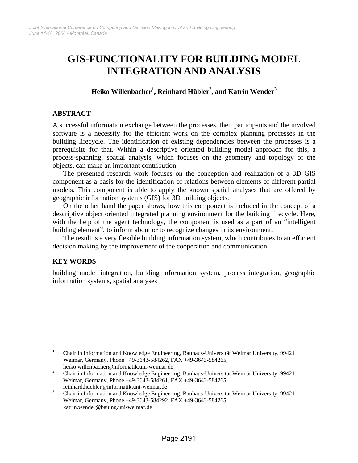# **GIS-FUNCTIONALITY FOR BUILDING MODEL INTEGRATION AND ANALYSIS**

## $\mathbf{H}$ eiko Willenbacher $^{1}$ , Reinhard Hübler $^{2}$ , and Katrin Wender $^{3}$

#### **ABSTRACT**

A successful information exchange between the processes, their participants and the involved software is a necessity for the efficient work on the complex planning processes in the building lifecycle. The identification of existing dependencies between the processes is a prerequisite for that. Within a descriptive oriented building model approach for this, a process-spanning, spatial analysis, which focuses on the geometry and topology of the objects, can make an important contribution.

The presented research work focuses on the conception and realization of a 3D GIS component as a basis for the identification of relations between elements of different partial models. This component is able to apply the known spatial analyses that are offered by geographic information systems (GIS) for 3D building objects.

On the other hand the paper shows, how this component is included in the concept of a descriptive object oriented integrated planning environment for the building lifecycle. Here, with the help of the agent technology, the component is used as a part of an "intelligent building element", to inform about or to recognize changes in its environment.

The result is a very flexible building information system, which contributes to an efficient decision making by the improvement of the cooperation and communication.

## **KEY WORDS**

building model integration, building information system, process integration, geographic information systems, spatial analyses

heiko.willenbacher@informatik.uni-weimar.de<br>  $\frac{2}{3}$  Chair in Information and Knowledge Engineeri

<sup>|&</sup>lt;br>|<br>| Chair in Information and Knowledge Engineering, Bauhaus-Universität Weimar University, 99421 Weimar, Germany, Phone +49-3643-584262, FAX +49-3643-584265,

Chair in Information and Knowledge Engineering, Bauhaus-Universität Weimar University, 99421 Weimar, Germany, Phone +49-3643-584261, FAX +49-3643-584265,

reinhard.huebler@informatik.uni-weimar.de

Chair in Information and Knowledge Engineering, Bauhaus-Universität Weimar University, 99421 Weimar, Germany, Phone +49-3643-584292, FAX +49-3643-584265, katrin.wender@bauing.uni-weimar.de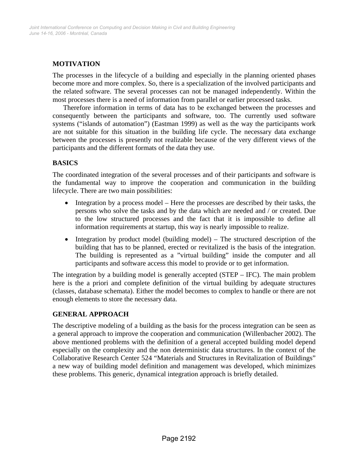## **MOTIVATION**

The processes in the lifecycle of a building and especially in the planning oriented phases become more and more complex. So, there is a specialization of the involved participants and the related software. The several processes can not be managed independently. Within the most processes there is a need of information from parallel or earlier processed tasks.

Therefore information in terms of data has to be exchanged between the processes and consequently between the participants and software, too. The currently used software systems ("islands of automation") (Eastman 1999) as well as the way the participants work are not suitable for this situation in the building life cycle. The necessary data exchange between the processes is presently not realizable because of the very different views of the participants and the different formats of the data they use.

## **BASICS**

The coordinated integration of the several processes and of their participants and software is the fundamental way to improve the cooperation and communication in the building lifecycle. There are two main possibilities:

- Integration by a process model Here the processes are described by their tasks, the persons who solve the tasks and by the data which are needed and / or created. Due to the low structured processes and the fact that it is impossible to define all information requirements at startup, this way is nearly impossible to realize.
- Integration by product model (building model) The structured description of the building that has to be planned, erected or revitalized is the basis of the integration. The building is represented as a "virtual building" inside the computer and all participants and software access this model to provide or to get information.

The integration by a building model is generally accepted (STEP – IFC). The main problem here is the a priori and complete definition of the virtual building by adequate structures (classes, database schemata). Either the model becomes to complex to handle or there are not enough elements to store the necessary data.

## **GENERAL APPROACH**

The descriptive modeling of a building as the basis for the process integration can be seen as a general approach to improve the cooperation and communication (Willenbacher 2002). The above mentioned problems with the definition of a general accepted building model depend especially on the complexity and the non deterministic data structures. In the context of the Collaborative Research Center 524 "Materials and Structures in Revitalization of Buildings" a new way of building model definition and management was developed, which minimizes these problems. This generic, dynamical integration approach is briefly detailed.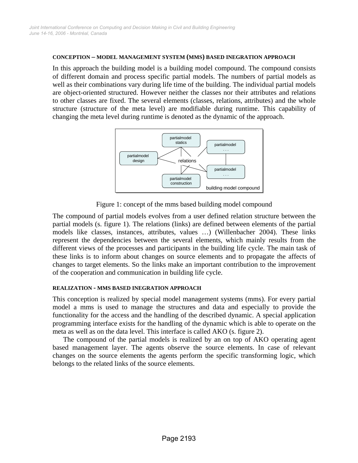#### **CONCEPTION – MODEL MANAGEMENT SYSTEM (MMS) BASED INEGRATION APPROACH**

In this approach the building model is a building model compound. The compound consists of different domain and process specific partial models. The numbers of partial models as well as their combinations vary during life time of the building. The individual partial models are object-oriented structured. However neither the classes nor their attributes and relations to other classes are fixed. The several elements (classes, relations, attributes) and the whole structure (structure of the meta level) are modifiable during runtime. This capability of changing the meta level during runtime is denoted as the dynamic of the approach.



Figure 1: concept of the mms based building model compound

The compound of partial models evolves from a user defined relation structure between the partial models (s. figure 1). The relations (links) are defined between elements of the partial models like classes, instances, attributes, values …) (Willenbacher 2004). These links represent the dependencies between the several elements, which mainly results from the different views of the processes and participants in the building life cycle. The main task of these links is to inform about changes on source elements and to propagate the affects of changes to target elements. So the links make an important contribution to the improvement of the cooperation and communication in building life cycle.

#### **REALIZATION - MMS BASED INEGRATION APPROACH**

This conception is realized by special model management systems (mms). For every partial model a mms is used to manage the structures and data and especially to provide the functionality for the access and the handling of the described dynamic. A special application programming interface exists for the handling of the dynamic which is able to operate on the meta as well as on the data level. This interface is called AKO (s. figure 2).

The compound of the partial models is realized by an on top of AKO operating agent based management layer. The agents observe the source elements. In case of relevant changes on the source elements the agents perform the specific transforming logic, which belongs to the related links of the source elements.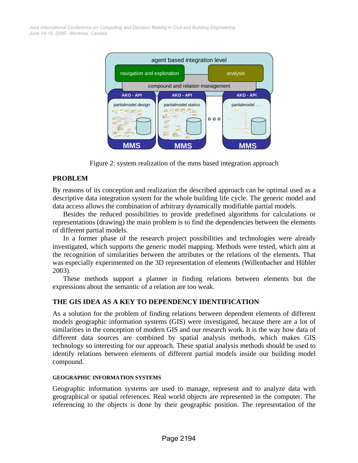*June 14-16, 2006 - Montréal, Canada Joint International Conference on Computing and Decision Making in Civil and Building Engineering*



Figure 2: system realization of the mms based integration approach

## **PROBLEM**

By reasons of its conception and realization the described approach can be optimal used as a descriptive data integration system for the whole building life cycle. The generic model and data access allows the combination of arbitrary dynamically modifiable partial models.

Besides the reduced possibilities to provide predefined algorithms for calculations or representations (drawing) the main problem is to find the dependencies between the elements of different partial models.

In a former phase of the research project possibilities and technologies were already investigated, which supports the generic model mapping. Methods were tested, which aim at the recognition of similarities between the attributes or the relations of the elements. That was especially experimented on the 3D representation of elements (Willenbacher and Hübler 2003).

These methods support a planner in finding relations between elements but the expressions about the semantic of a relation are too weak.

## **THE GIS IDEA AS A KEY TO DEPENDENCY IDENTIFICATION**

As a solution for the problem of finding relations between dependent elements of different models geographic information systems (GIS) were investigated, because there are a lot of similarities in the conception of modern GIS and our research work. It is the way how data of different data sources are combined by spatial analysis methods, which makes GIS technology so interesting for our approach. These spatial analysis methods should be used to identify relations between elements of different partial models inside our building model compound.

#### **GEOGRAPHIC INFORMATION SYSTEMS**

Geographic information systems are used to manage, represent and to analyze data with geographical or spatial references. Real world objects are represented in the computer. The referencing to the objects is done by their geographic position. The representation of the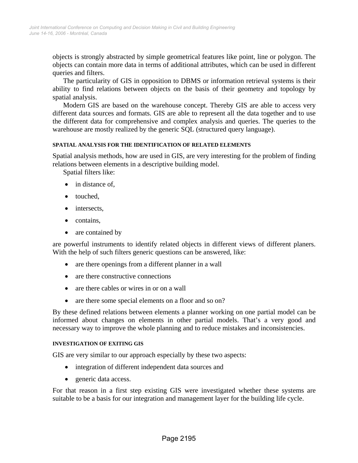objects is strongly abstracted by simple geometrical features like point, line or polygon. The objects can contain more data in terms of additional attributes, which can be used in different queries and filters.

The particularity of GIS in opposition to DBMS or information retrieval systems is their ability to find relations between objects on the basis of their geometry and topology by spatial analysis.

Modern GIS are based on the warehouse concept. Thereby GIS are able to access very different data sources and formats. GIS are able to represent all the data together and to use the different data for comprehensive and complex analysis and queries. The queries to the warehouse are mostly realized by the generic SQL (structured query language).

#### **SPATIAL ANALYSIS FOR THE IDENTIFICATION OF RELATED ELEMENTS**

Spatial analysis methods, how are used in GIS, are very interesting for the problem of finding relations between elements in a descriptive building model.

Spatial filters like:

- in distance of,
- touched,
- intersects,
- contains,
- are contained by

are powerful instruments to identify related objects in different views of different planers. With the help of such filters generic questions can be answered, like:

- are there openings from a different planner in a wall
- are there constructive connections
- are there cables or wires in or on a wall
- are there some special elements on a floor and so on?

By these defined relations between elements a planner working on one partial model can be informed about changes on elements in other partial models. That's a very good and necessary way to improve the whole planning and to reduce mistakes and inconsistencies.

#### **INVESTIGATION OF EXITING GIS**

GIS are very similar to our approach especially by these two aspects:

- integration of different independent data sources and
- generic data access.

For that reason in a first step existing GIS were investigated whether these systems are suitable to be a basis for our integration and management layer for the building life cycle.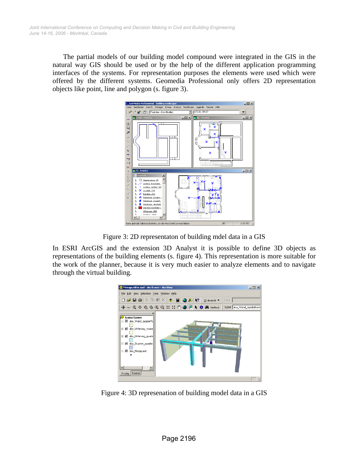The partial models of our building model compound were integrated in the GIS in the natural way GIS should be used or by the help of the different application programming interfaces of the systems. For representation purposes the elements were used which were offered by the different systems. Geomedia Professional only offers 2D representation objects like point, line and polygon (s. figure 3).



Figure 3: 2D representaton of building mdel data in a GIS

In ESRI ArcGIS and the extension 3D Analyst it is possible to define 3D objects as representations of the building elements (s. figure 4). This representation is more suitable for the work of the planner, because it is very much easier to analyze elements and to navigate through the virtual building.



Figure 4: 3D represenation of building model data in a GIS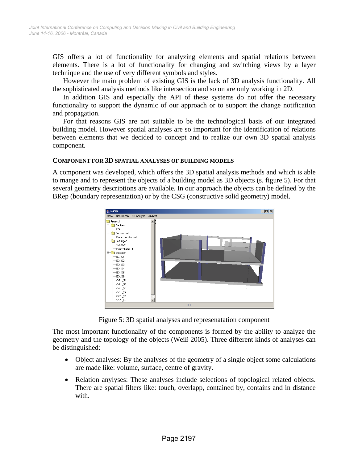GIS offers a lot of functionality for analyzing elements and spatial relations between elements. There is a lot of functionality for changing and switching views by a layer technique and the use of very different symbols and styles.

However the main problem of existing GIS is the lack of 3D analysis functionality. All the sophisticated analysis methods like intersection and so on are only working in 2D.

In addition GIS and especially the API of these systems do not offer the necessary functionality to support the dynamic of our approach or to support the change notification and propagation.

For that reasons GIS are not suitable to be the technological basis of our integrated building model. However spatial analyses are so important for the identification of relations between elements that we decided to concept and to realize our own 3D spatial analysis component.

#### **COMPONENT FOR 3D SPATIAL ANALYSES OF BUILDING MODELS**

A component was developed, which offers the 3D spatial analysis methods and which is able to mange and to represent the objects of a building model as 3D objects (s. figure 5). For that several geometry descriptions are available. In our approach the objects can be defined by the BRep (boundary representation) or by the CSG (constructive solid geometry) model.



Figure 5: 3D spatial analyses and represenatation component

The most important functionality of the components is formed by the ability to analyze the geometry and the topology of the objects (Weiß 2005). Three different kinds of analyses can be distinguished:

- Object analyses: By the analyses of the geometry of a single object some calculations are made like: volume, surface, centre of gravity.
- Relation anylyses: These analyses include selections of topological related objects. There are spatial filters like: touch, overlapp, contained by, contains and in distance with.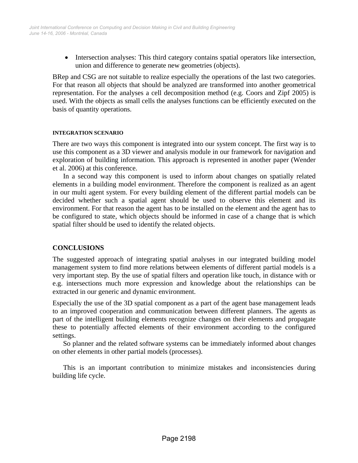• Intersection analyses: This third category contains spatial operators like intersection, union and difference to generate new geometries (objects).

BRep and CSG are not suitable to realize especially the operations of the last two categories. For that reason all objects that should be analyzed are transformed into another geometrical representation. For the analyses a cell decomposition method (e.g. Coors and Zipf 2005) is used. With the objects as small cells the analyses functions can be efficiently executed on the basis of quantity operations.

#### **INTEGRATION SCENARIO**

There are two ways this component is integrated into our system concept. The first way is to use this component as a 3D viewer and analysis module in our framework for navigation and exploration of building information. This approach is represented in another paper (Wender et al. 2006) at this conference.

In a second way this component is used to inform about changes on spatially related elements in a building model environment. Therefore the component is realized as an agent in our multi agent system. For every building element of the different partial models can be decided whether such a spatial agent should be used to observe this element and its environment. For that reason the agent has to be installed on the element and the agent has to be configured to state, which objects should be informed in case of a change that is which spatial filter should be used to identify the related objects.

## **CONCLUSIONS**

The suggested approach of integrating spatial analyses in our integrated building model management system to find more relations between elements of different partial models is a very important step. By the use of spatial filters and operation like touch, in distance with or e.g. intersections much more expression and knowledge about the relationships can be extracted in our generic and dynamic environment.

Especially the use of the 3D spatial component as a part of the agent base management leads to an improved cooperation and communication between different planners. The agents as part of the intelligent building elements recognize changes on their elements and propagate these to potentially affected elements of their environment according to the configured settings.

So planner and the related software systems can be immediately informed about changes on other elements in other partial models (processes).

This is an important contribution to minimize mistakes and inconsistencies during building life cycle.